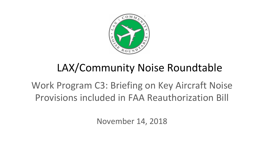

## LAX/Community Noise Roundtable

## Work Program C3: Briefing on Key Aircraft Noise Provisions included in FAA Reauthorization Bill

November 14, 2018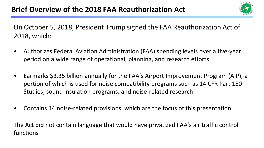

On October 5, 2018, President Trump signed the FAA Reauthorization Act of 2018, which:

- Authorizes Federal Aviation Administration (FAA) spending levels over a five-year period on a wide range of operational, planning, and research efforts
- Earmarks \$3.35 billion annually for the FAA's Airport Improvement Program (AIP); a portion of which is used for noise compatibility programs such as 14 CFR Part 150 Studies, sound insulation programs, and noise-related research
- Contains 14 noise-related provisions, which are the focus of this presentation

The Act did not contain language that would have privatized FAA's air traffic control functions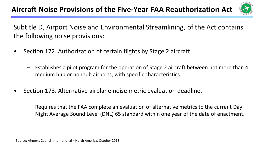

Subtitle D, Airport Noise and Environmental Streamlining, of the Act contains the following noise provisions:

- Section 172. Authorization of certain flights by Stage 2 aircraft.
	- Establishes a pilot program for the operation of Stage 2 aircraft between not more than 4 medium hub or nonhub airports, with specific characteristics.
- Section 173. Alternative airplane noise metric evaluation deadline.
	- Requires that the FAA complete an evaluation of alternative metrics to the current Day Night Average Sound Level (DNL) 65 standard within one year of the date of enactment.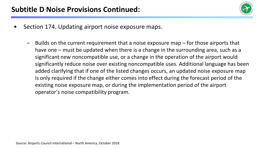

- Section 174. Updating airport noise exposure maps.
	- Builds on the current requirement that a noise exposure map for those airports that have one – must be updated when there is a change in the surrounding area, such as a significant new noncompatible use, or a change in the operation of the airport would significantly reduce noise over existing noncompatible uses. Additional language has been added clarifying that if one of the listed changes occurs, an updated noise exposure map is only required if the change either comes into effect during the forecast period of the existing noise exposure map, or during the implementation period of the airport operator's noise compatibility program.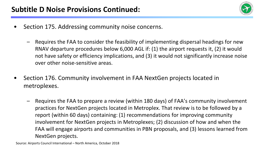

- Section 175. Addressing community noise concerns.
	- Requires the FAA to consider the feasibility of implementing dispersal headings for new RNAV departure procedures below 6,000 AGL if: (1) the airport requests it, (2) it would not have safety or efficiency implications, and (3) it would not significantly increase noise over other noise-sensitive areas.
- Section 176. Community involvement in FAA NextGen projects located in metroplexes.
	- Requires the FAA to prepare a review (within 180 days) of FAA's community involvement practices for NextGen projects located in Metroplex. That review is to be followed by a report (within 60 days) containing: (1) recommendations for improving community involvement for NextGen projects in Metroplexes; (2) discussion of how and when the FAA will engage airports and communities in PBN proposals, and (3) lessons learned from NextGen projects.

Source: Airports Council International – North America, October 2018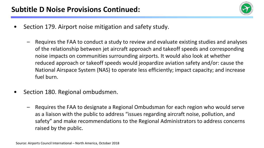

- Section 179. Airport noise mitigation and safety study.
	- Requires the FAA to conduct a study to review and evaluate existing studies and analyses of the relationship between jet aircraft approach and takeoff speeds and corresponding noise impacts on communities surrounding airports. It would also look at whether reduced approach or takeoff speeds would jeopardize aviation safety and/or: cause the National Airspace System (NAS) to operate less efficiently; impact capacity; and increase fuel burn.
- Section 180. Regional ombudsmen.
	- Requires the FAA to designate a Regional Ombudsman for each region who would serve as a liaison with the public to address "issues regarding aircraft noise, pollution, and safety" and make recommendations to the Regional Administrators to address concerns raised by the public.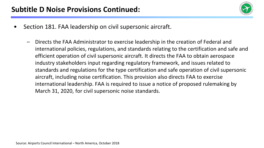

- Section 181. FAA leadership on civil supersonic aircraft.
	- Directs the FAA Administrator to exercise leadership in the creation of Federal and international policies, regulations, and standards relating to the certification and safe and efficient operation of civil supersonic aircraft. It directs the FAA to obtain aerospace industry stakeholders input regarding regulatory framework, and issues related to standards and regulations for the type certification and safe operation of civil supersonic aircraft, including noise certification. This provision also directs FAA to exercise international leadership. FAA is required to issue a notice of proposed rulemaking by March 31, 2020, for civil supersonic noise standards.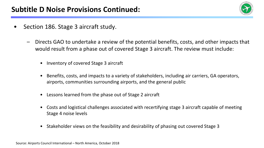

- Section 186. Stage 3 aircraft study.
	- Directs GAO to undertake a review of the potential benefits, costs, and other impacts that would result from a phase out of covered Stage 3 aircraft. The review must include:
		- Inventory of covered Stage 3 aircraft
		- Benefits, costs, and impacts to a variety of stakeholders, including air carriers, GA operators, airports, communities surrounding airports, and the general public
		- Lessons learned from the phase out of Stage 2 aircraft
		- Costs and logistical challenges associated with recertifying stage 3 aircraft capable of meeting Stage 4 noise levels
		- Stakeholder views on the feasibility and desirability of phasing out covered Stage 3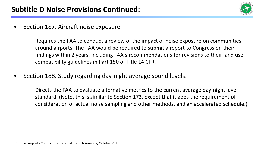

- Section 187. Aircraft noise exposure.
	- Requires the FAA to conduct a review of the impact of noise exposure on communities around airports. The FAA would be required to submit a report to Congress on their findings within 2 years, including FAA's recommendations for revisions to their land use compatibility guidelines in Part 150 of Title 14 CFR.
- Section 188. Study regarding day-night average sound levels.
	- Directs the FAA to evaluate alternative metrics to the current average day-night level standard. (Note, this is similar to Section 173, except that it adds the requirement of consideration of actual noise sampling and other methods, and an accelerated schedule.)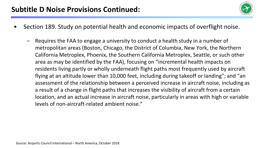

- Section 189. Study on potential health and economic impacts of overflight noise.
	- Requires the FAA to engage a university to conduct a health study in a number of metropolitan areas (Boston, Chicago, the District of Columbia, New York, the Northern California Metroplex, Phoenix, the Southern California Metroplex, Seattle, or such other area as may be identified by the FAA), focusing on "incremental health impacts on residents living partly or wholly underneath flight paths most frequently used by aircraft flying at an altitude lower than 10,000 feet, including during takeoff or landing"; and "an assessment of the relationship between a perceived increase in aircraft noise, including as a result of a change in flight paths that increases the visibility of aircraft from a certain location, and an actual increase in aircraft noise, particularly in areas with high or variable levels of non-aircraft-related ambient noise."